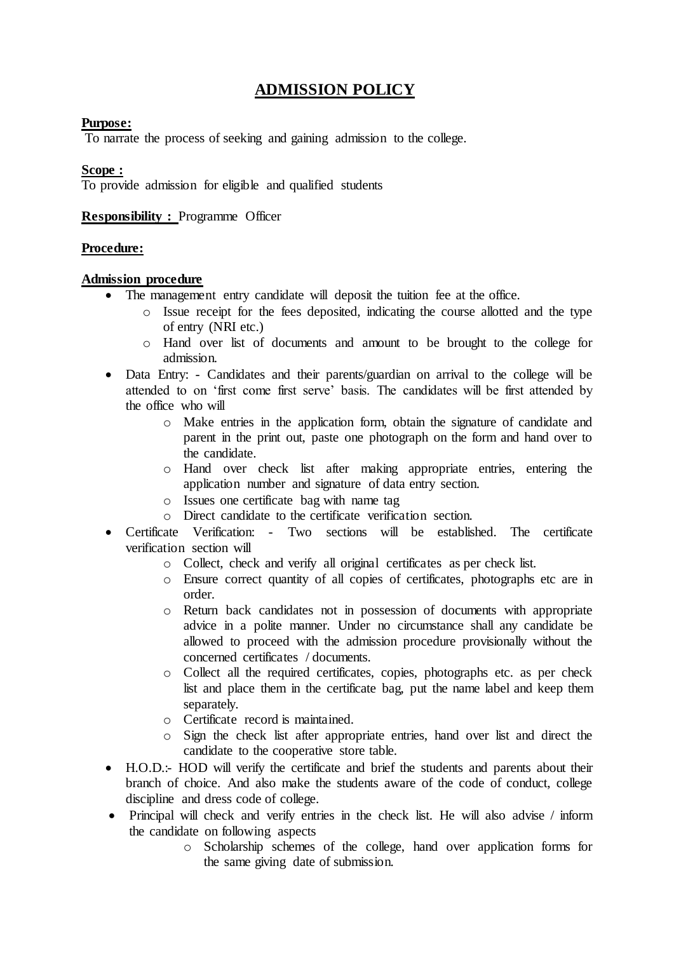# **ADMISSION POLICY**

# **Purpose:**

To narrate the process of seeking and gaining admission to the college.

# **Scope :**

To provide admission for eligible and qualified students

# **Responsibility :** Programme Officer

# **Procedure:**

# **Admission procedure**

- The management entry candidate will deposit the tuition fee at the office.
	- o Issue receipt for the fees deposited, indicating the course allotted and the type of entry (NRI etc.)
	- o Hand over list of documents and amount to be brought to the college for admission.
- Data Entry: Candidates and their parents/guardian on arrival to the college will be attended to on 'first come first serve' basis. The candidates will be first attended by the office who will
	- o Make entries in the application form, obtain the signature of candidate and parent in the print out, paste one photograph on the form and hand over to the candidate.
	- o Hand over check list after making appropriate entries, entering the application number and signature of data entry section.
	- o Issues one certificate bag with name tag
	- o Direct candidate to the certificate verification section.
- Certificate Verification: Two sections will be established. The certificate verification section will
	- o Collect, check and verify all original certificates as per check list.
	- o Ensure correct quantity of all copies of certificates, photographs etc are in order.
	- o Return back candidates not in possession of documents with appropriate advice in a polite manner. Under no circumstance shall any candidate be allowed to proceed with the admission procedure provisionally without the concerned certificates / documents.
	- o Collect all the required certificates, copies, photographs etc. as per check list and place them in the certificate bag, put the name label and keep them separately.
	- o Certificate record is maintained.
	- o Sign the check list after appropriate entries, hand over list and direct the candidate to the cooperative store table.
- H.O.D.:- HOD will verify the certificate and brief the students and parents about their branch of choice. And also make the students aware of the code of conduct, college discipline and dress code of college.
- Principal will check and verify entries in the check list. He will also advise / inform the candidate on following aspects
	- o Scholarship schemes of the college, hand over application forms for the same giving date of submission.